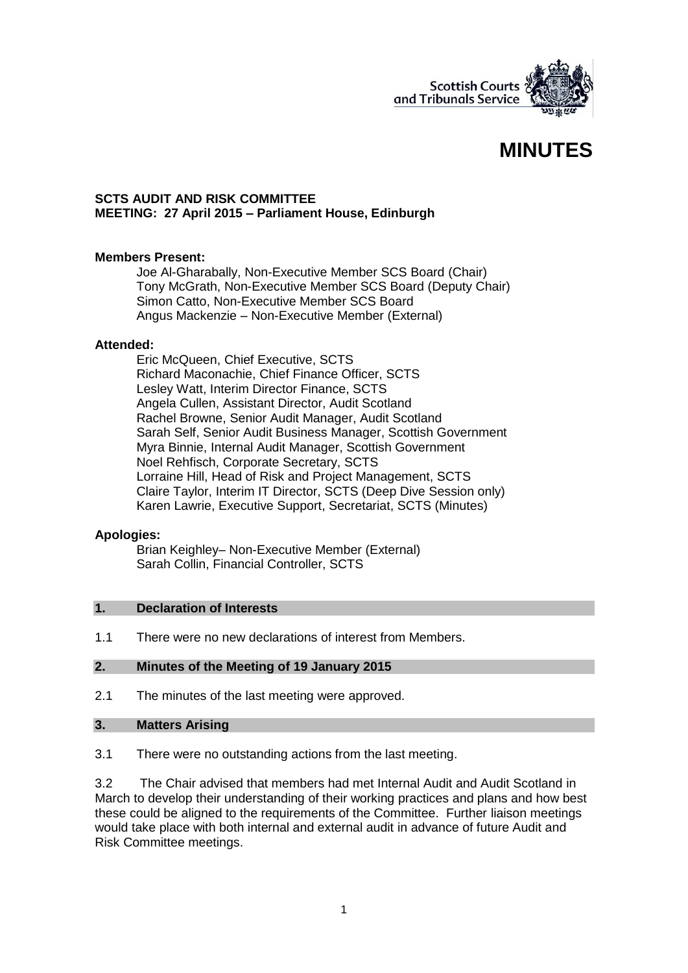

# **MINUTES**

#### **SCTS AUDIT AND RISK COMMITTEE MEETING: 27 April 2015 – Parliament House, Edinburgh**

## **Members Present:**

Joe Al-Gharabally, Non-Executive Member SCS Board (Chair) Tony McGrath, Non-Executive Member SCS Board (Deputy Chair) Simon Catto, Non-Executive Member SCS Board Angus Mackenzie – Non-Executive Member (External)

#### **Attended:**

Eric McQueen, Chief Executive, SCTS Richard Maconachie, Chief Finance Officer, SCTS Lesley Watt, Interim Director Finance, SCTS Angela Cullen, Assistant Director, Audit Scotland Rachel Browne, Senior Audit Manager, Audit Scotland Sarah Self, Senior Audit Business Manager, Scottish Government Myra Binnie, Internal Audit Manager, Scottish Government Noel Rehfisch, Corporate Secretary, SCTS Lorraine Hill, Head of Risk and Project Management, SCTS Claire Taylor, Interim IT Director, SCTS (Deep Dive Session only) Karen Lawrie, Executive Support, Secretariat, SCTS (Minutes)

#### **Apologies:**

Brian Keighley– Non-Executive Member (External) Sarah Collin, Financial Controller, SCTS

#### **1. Declaration of Interests**

1.1 There were no new declarations of interest from Members.

# **2. Minutes of the Meeting of 19 January 2015**

2.1 The minutes of the last meeting were approved.

#### **3. Matters Arising**

3.1 There were no outstanding actions from the last meeting.

3.2 The Chair advised that members had met Internal Audit and Audit Scotland in March to develop their understanding of their working practices and plans and how best these could be aligned to the requirements of the Committee. Further liaison meetings would take place with both internal and external audit in advance of future Audit and Risk Committee meetings.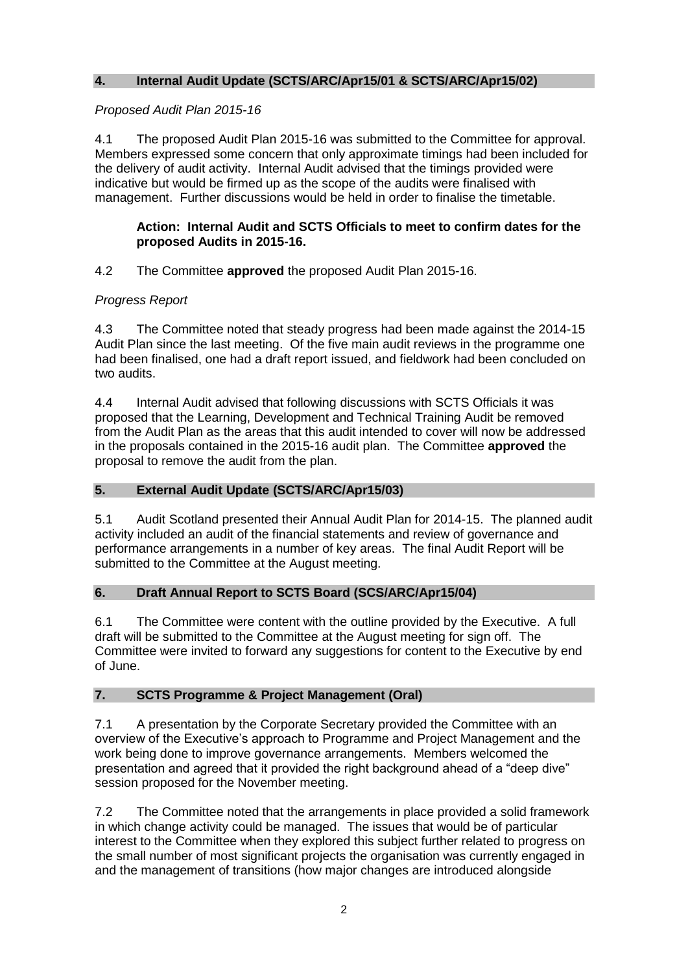# **4. Internal Audit Update (SCTS/ARC/Apr15/01 & SCTS/ARC/Apr15/02)**

# *Proposed Audit Plan 2015-16*

4.1 The proposed Audit Plan 2015-16 was submitted to the Committee for approval. Members expressed some concern that only approximate timings had been included for the delivery of audit activity. Internal Audit advised that the timings provided were indicative but would be firmed up as the scope of the audits were finalised with management. Further discussions would be held in order to finalise the timetable.

# **Action: Internal Audit and SCTS Officials to meet to confirm dates for the proposed Audits in 2015-16.**

# 4.2 The Committee **approved** the proposed Audit Plan 2015-16.

# *Progress Report*

4.3 The Committee noted that steady progress had been made against the 2014-15 Audit Plan since the last meeting. Of the five main audit reviews in the programme one had been finalised, one had a draft report issued, and fieldwork had been concluded on two audits.

4.4 Internal Audit advised that following discussions with SCTS Officials it was proposed that the Learning, Development and Technical Training Audit be removed from the Audit Plan as the areas that this audit intended to cover will now be addressed in the proposals contained in the 2015-16 audit plan. The Committee **approved** the proposal to remove the audit from the plan.

## **5. External Audit Update (SCTS/ARC/Apr15/03)**

5.1 Audit Scotland presented their Annual Audit Plan for 2014-15. The planned audit activity included an audit of the financial statements and review of governance and performance arrangements in a number of key areas. The final Audit Report will be submitted to the Committee at the August meeting.

## **6. Draft Annual Report to SCTS Board (SCS/ARC/Apr15/04)**

6.1 The Committee were content with the outline provided by the Executive. A full draft will be submitted to the Committee at the August meeting for sign off. The Committee were invited to forward any suggestions for content to the Executive by end of June.

## **7. SCTS Programme & Project Management (Oral)**

7.1 A presentation by the Corporate Secretary provided the Committee with an overview of the Executive's approach to Programme and Project Management and the work being done to improve governance arrangements. Members welcomed the presentation and agreed that it provided the right background ahead of a "deep dive" session proposed for the November meeting.

7.2 The Committee noted that the arrangements in place provided a solid framework in which change activity could be managed. The issues that would be of particular interest to the Committee when they explored this subject further related to progress on the small number of most significant projects the organisation was currently engaged in and the management of transitions (how major changes are introduced alongside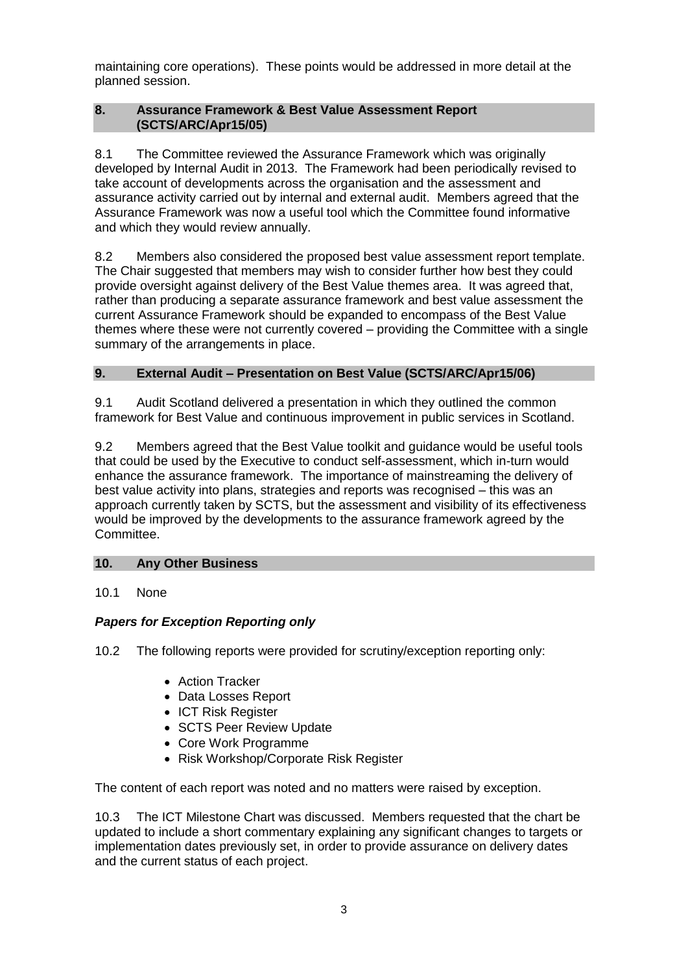maintaining core operations). These points would be addressed in more detail at the planned session.

# **8. Assurance Framework & Best Value Assessment Report (SCTS/ARC/Apr15/05)**

8.1 The Committee reviewed the Assurance Framework which was originally developed by Internal Audit in 2013. The Framework had been periodically revised to take account of developments across the organisation and the assessment and assurance activity carried out by internal and external audit. Members agreed that the Assurance Framework was now a useful tool which the Committee found informative and which they would review annually.

8.2 Members also considered the proposed best value assessment report template. The Chair suggested that members may wish to consider further how best they could provide oversight against delivery of the Best Value themes area. It was agreed that, rather than producing a separate assurance framework and best value assessment the current Assurance Framework should be expanded to encompass of the Best Value themes where these were not currently covered – providing the Committee with a single summary of the arrangements in place.

# **9. External Audit – Presentation on Best Value (SCTS/ARC/Apr15/06)**

9.1 Audit Scotland delivered a presentation in which they outlined the common framework for Best Value and continuous improvement in public services in Scotland.

9.2 Members agreed that the Best Value toolkit and guidance would be useful tools that could be used by the Executive to conduct self-assessment, which in-turn would enhance the assurance framework. The importance of mainstreaming the delivery of best value activity into plans, strategies and reports was recognised – this was an approach currently taken by SCTS, but the assessment and visibility of its effectiveness would be improved by the developments to the assurance framework agreed by the Committee.

## **10. Any Other Business**

# 10.1 None

# *Papers for Exception Reporting only*

10.2 The following reports were provided for scrutiny/exception reporting only:

- Action Tracker
- Data Losses Report
- ICT Risk Register
- SCTS Peer Review Update
- Core Work Programme
- Risk Workshop/Corporate Risk Register

The content of each report was noted and no matters were raised by exception.

10.3 The ICT Milestone Chart was discussed. Members requested that the chart be updated to include a short commentary explaining any significant changes to targets or implementation dates previously set, in order to provide assurance on delivery dates and the current status of each project.